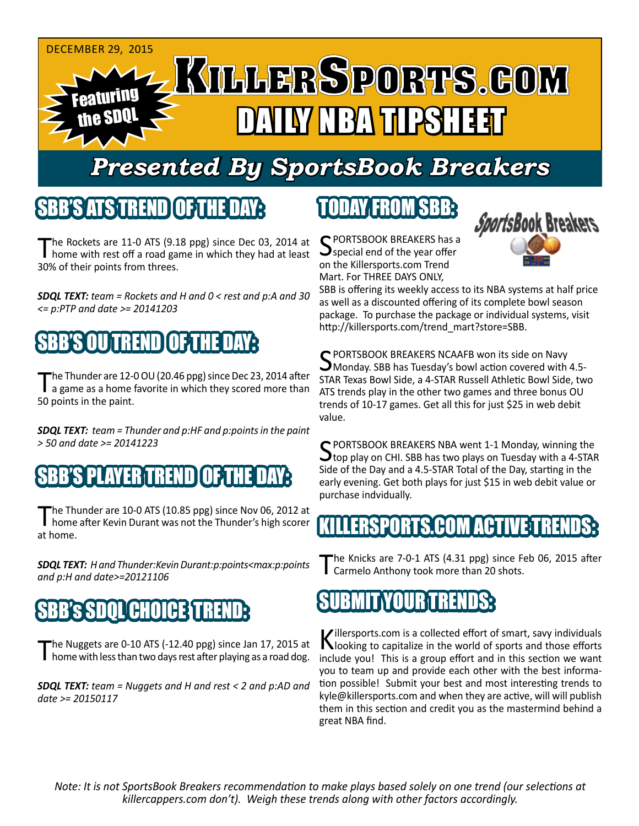

# *Presented By SportsBook Breakers*

## SBB'S ATS TREND

The Rockets are 11-0 ATS (9.18 ppg) since Dec 03, 2014 at home with rest off a road game in which they had at least 30% of their points from threes.

*SDQL TEXT: team = Rockets and H and 0 < rest and p:A and 30 <= p:PTP and date >= 20141203*

## OU SENTI

The Thunder are 12-0 OU (20.46 ppg) since Dec 23, 2014 after<br>a game as a home favorite in which they scored more than 50 points in the paint.

*SDQL TEXT: team = Thunder and p:HF and p:points in the paint > 50 and date >= 20141223*

## SBB'S PLAYER TREND

The Thunder are 10-0 ATS (10.85 ppg) since Nov 06, 2012 at<br>home after Kevin Durant was not the Thunder's high scorer at home.

*SDQL TEXT: H and Thunder:Kevin Durant:p:points<max:p:points and p:H and date>=20121106*

## SBB's SDQL CHOICE TREND:

The Nuggets are 0-10 ATS (-12.40 ppg) since Jan 17, 2015 at home with less than two days rest after playing as a road dog.

*SDQL TEXT: team = Nuggets and H and rest < 2 and p:AD and date >= 20150117*

## TODAY FROM SBB:

C PORTSBOOK BREAKERS has a special end of the year offer on the Killersports.com Trend Mart. For THREE DAYS ONLY,



SBB is offering its weekly access to its NBA systems at half price as well as a discounted offering of its complete bowl season package. To purchase the package or individual systems, visit http://killersports.com/trend\_mart?store=SBB.

C PORTSBOOK BREAKERS NCAAFB won its side on Navy Monday. SBB has Tuesday's bowl action covered with 4.5- STAR Texas Bowl Side, a 4-STAR Russell Athletic Bowl Side, two ATS trends play in the other two games and three bonus OU trends of 10-17 games. Get all this for just \$25 in web debit value.

SPORTSBOOK BREAKERS NBA went 1-1 Monday, winning the<br>Stop play on CHI. SBB has two plays on Tuesday with a 4-STAR Side of the Day and a 4.5-STAR Total of the Day, starting in the early evening. Get both plays for just \$15 in web debit value or purchase indvidually.

## ERSPORTS.COM ACTIVE T

The Knicks are 7-0-1 ATS (4.31 ppg) since Feb 06, 2015 after Carmelo Anthony took more than 20 shots.

## SUBMIT YOUR TRENDS:

Killersports.com is a collected effort of smart, savy individuals<br>Nooking to capitalize in the world of sports and those efforts include you! This is a group effort and in this section we want you to team up and provide each other with the best information possible! Submit your best and most interesting trends to kyle@killersports.com and when they are active, will will publish them in this section and credit you as the mastermind behind a great NBA find.

*Note: It is not SportsBook Breakers recommendation to make plays based solely on one trend (our selections at killercappers.com don't). Weigh these trends along with other factors accordingly.*